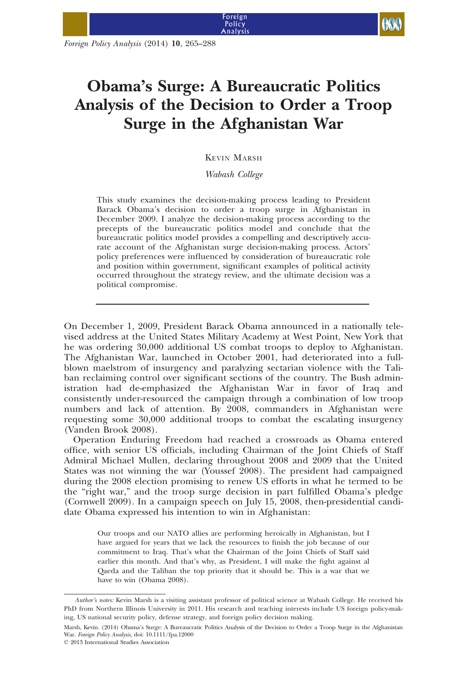

# Obama's Surge: A Bureaucratic Politics Analysis of the Decision to Order a Troop Surge in the Afghanistan War

Polic<sub>y</sub> Analysis

KEVIN MARSH

Wabash College

This study examines the decision-making process leading to President Barack Obama's decision to order a troop surge in Afghanistan in December 2009. I analyze the decision-making process according to the precepts of the bureaucratic politics model and conclude that the bureaucratic politics model provides a compelling and descriptively accurate account of the Afghanistan surge decision-making process. Actors' policy preferences were influenced by consideration of bureaucratic role and position within government, significant examples of political activity occurred throughout the strategy review, and the ultimate decision was a political compromise.

On December 1, 2009, President Barack Obama announced in a nationally televised address at the United States Military Academy at West Point, New York that he was ordering 30,000 additional US combat troops to deploy to Afghanistan. The Afghanistan War, launched in October 2001, had deteriorated into a fullblown maelstrom of insurgency and paralyzing sectarian violence with the Taliban reclaiming control over significant sections of the country. The Bush administration had de-emphasized the Afghanistan War in favor of Iraq and consistently under-resourced the campaign through a combination of low troop numbers and lack of attention. By 2008, commanders in Afghanistan were requesting some 30,000 additional troops to combat the escalating insurgency (Vanden Brook 2008).

Operation Enduring Freedom had reached a crossroads as Obama entered office, with senior US officials, including Chairman of the Joint Chiefs of Staff Admiral Michael Mullen, declaring throughout 2008 and 2009 that the United States was not winning the war (Youssef 2008). The president had campaigned during the 2008 election promising to renew US efforts in what he termed to be the "right war," and the troop surge decision in part fulfilled Obama's pledge (Cornwell 2009). In a campaign speech on July 15, 2008, then-presidential candidate Obama expressed his intention to win in Afghanistan:

Our troops and our NATO allies are performing heroically in Afghanistan, but I have argued for years that we lack the resources to finish the job because of our commitment to Iraq. That's what the Chairman of the Joint Chiefs of Staff said earlier this month. And that's why, as President, I will make the fight against al Qaeda and the Taliban the top priority that it should be. This is a war that we have to win (Obama 2008).

Author's notes: Kevin Marsh is a visiting assistant professor of political science at Wabash College. He received his PhD from Northern Illinois University in 2011. His research and teaching interests include US foreign policy-making, US national security policy, defense strategy, and foreign policy decision making.

Marsh, Kevin. (2014) Obama's Surge: A Bureaucratic Politics Analysis of the Decision to Order a Troop Surge in the Afghanistan War. Foreign Policy Analysis, doi: 10.1111/fpa.12000

<sup>©</sup> 2013 International Studies Association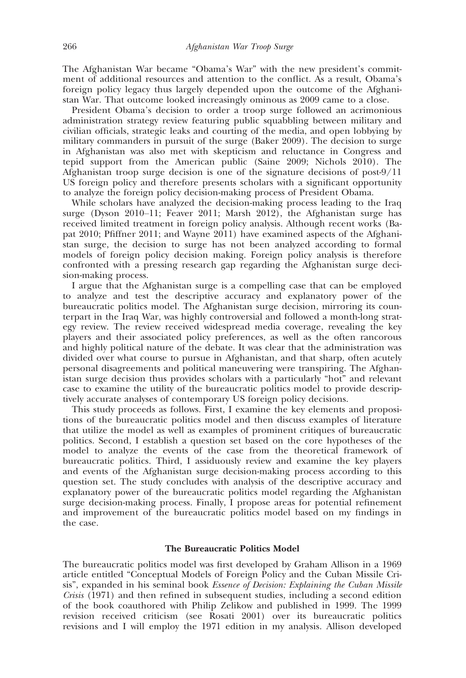The Afghanistan War became "Obama's War" with the new president's commitment of additional resources and attention to the conflict. As a result, Obama's foreign policy legacy thus largely depended upon the outcome of the Afghanistan War. That outcome looked increasingly ominous as 2009 came to a close.

President Obama's decision to order a troop surge followed an acrimonious administration strategy review featuring public squabbling between military and civilian officials, strategic leaks and courting of the media, and open lobbying by military commanders in pursuit of the surge (Baker 2009). The decision to surge in Afghanistan was also met with skepticism and reluctance in Congress and tepid support from the American public (Saine 2009; Nichols 2010). The Afghanistan troop surge decision is one of the signature decisions of post-9/11 US foreign policy and therefore presents scholars with a significant opportunity to analyze the foreign policy decision-making process of President Obama.

While scholars have analyzed the decision-making process leading to the Iraq surge (Dyson 2010–11; Feaver 2011; Marsh 2012), the Afghanistan surge has received limited treatment in foreign policy analysis. Although recent works (Bapat 2010; Pfiffner 2011; and Wayne 2011) have examined aspects of the Afghanistan surge, the decision to surge has not been analyzed according to formal models of foreign policy decision making. Foreign policy analysis is therefore confronted with a pressing research gap regarding the Afghanistan surge decision-making process.

I argue that the Afghanistan surge is a compelling case that can be employed to analyze and test the descriptive accuracy and explanatory power of the bureaucratic politics model. The Afghanistan surge decision, mirroring its counterpart in the Iraq War, was highly controversial and followed a month-long strategy review. The review received widespread media coverage, revealing the key players and their associated policy preferences, as well as the often rancorous and highly political nature of the debate. It was clear that the administration was divided over what course to pursue in Afghanistan, and that sharp, often acutely personal disagreements and political maneuvering were transpiring. The Afghanistan surge decision thus provides scholars with a particularly "hot" and relevant case to examine the utility of the bureaucratic politics model to provide descriptively accurate analyses of contemporary US foreign policy decisions.

This study proceeds as follows. First, I examine the key elements and propositions of the bureaucratic politics model and then discuss examples of literature that utilize the model as well as examples of prominent critiques of bureaucratic politics. Second, I establish a question set based on the core hypotheses of the model to analyze the events of the case from the theoretical framework of bureaucratic politics. Third, I assiduously review and examine the key players and events of the Afghanistan surge decision-making process according to this question set. The study concludes with analysis of the descriptive accuracy and explanatory power of the bureaucratic politics model regarding the Afghanistan surge decision-making process. Finally, I propose areas for potential refinement and improvement of the bureaucratic politics model based on my findings in the case.

#### The Bureaucratic Politics Model

The bureaucratic politics model was first developed by Graham Allison in a 1969 article entitled "Conceptual Models of Foreign Policy and the Cuban Missile Crisis", expanded in his seminal book Essence of Decision: Explaining the Cuban Missile Crisis (1971) and then refined in subsequent studies, including a second edition of the book coauthored with Philip Zelikow and published in 1999. The 1999 revision received criticism (see Rosati 2001) over its bureaucratic politics revisions and I will employ the 1971 edition in my analysis. Allison developed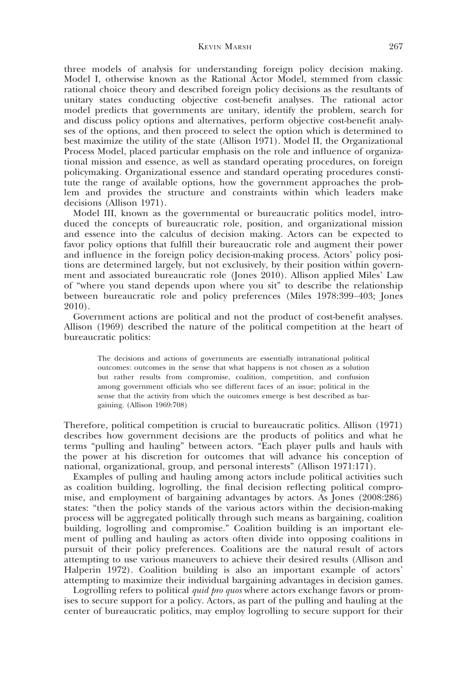three models of analysis for understanding foreign policy decision making. Model I, otherwise known as the Rational Actor Model, stemmed from classic rational choice theory and described foreign policy decisions as the resultants of unitary states conducting objective cost-benefit analyses. The rational actor model predicts that governments are unitary, identify the problem, search for and discuss policy options and alternatives, perform objective cost-benefit analyses of the options, and then proceed to select the option which is determined to best maximize the utility of the state (Allison 1971). Model II, the Organizational Process Model, placed particular emphasis on the role and influence of organizational mission and essence, as well as standard operating procedures, on foreign policymaking. Organizational essence and standard operating procedures constitute the range of available options, how the government approaches the problem and provides the structure and constraints within which leaders make decisions (Allison 1971).

Model III, known as the governmental or bureaucratic politics model, introduced the concepts of bureaucratic role, position, and organizational mission and essence into the calculus of decision making. Actors can be expected to favor policy options that fulfill their bureaucratic role and augment their power and influence in the foreign policy decision-making process. Actors' policy positions are determined largely, but not exclusively, by their position within government and associated bureaucratic role (Jones 2010). Allison applied Miles' Law of "where you stand depends upon where you sit" to describe the relationship between bureaucratic role and policy preferences (Miles 1978:399–403; Jones 2010).

Government actions are political and not the product of cost-benefit analyses. Allison (1969) described the nature of the political competition at the heart of bureaucratic politics:

The decisions and actions of governments are essentially intranational political outcomes: outcomes in the sense that what happens is not chosen as a solution but rather results from compromise, coalition, competition, and confusion among government officials who see different faces of an issue; political in the sense that the activity from which the outcomes emerge is best described as bargaining. (Allison 1969:708)

Therefore, political competition is crucial to bureaucratic politics. Allison (1971) describes how government decisions are the products of politics and what he terms "pulling and hauling" between actors. "Each player pulls and hauls with the power at his discretion for outcomes that will advance his conception of national, organizational, group, and personal interests" (Allison 1971:171).

Examples of pulling and hauling among actors include political activities such as coalition building, logrolling, the final decision reflecting political compromise, and employment of bargaining advantages by actors. As Jones (2008:286) states: "then the policy stands of the various actors within the decision-making process will be aggregated politically through such means as bargaining, coalition building, logrolling and compromise." Coalition building is an important element of pulling and hauling as actors often divide into opposing coalitions in pursuit of their policy preferences. Coalitions are the natural result of actors attempting to use various maneuvers to achieve their desired results (Allison and Halperin 1972). Coalition building is also an important example of actors' attempting to maximize their individual bargaining advantages in decision games.

Logrolling refers to political *quid pro quos* where actors exchange favors or promises to secure support for a policy. Actors, as part of the pulling and hauling at the center of bureaucratic politics, may employ logrolling to secure support for their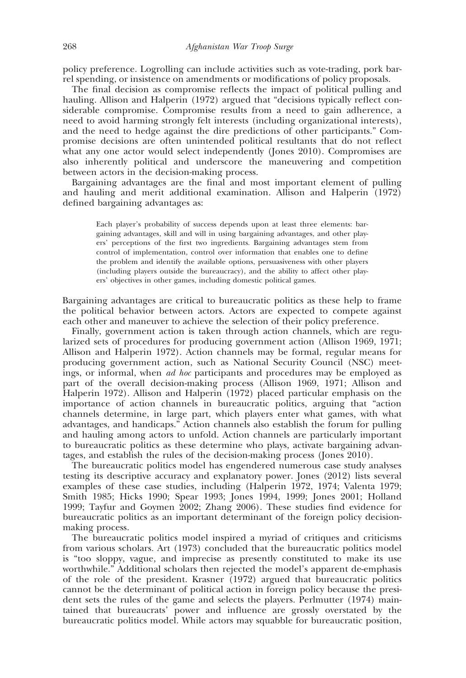policy preference. Logrolling can include activities such as vote-trading, pork barrel spending, or insistence on amendments or modifications of policy proposals.

The final decision as compromise reflects the impact of political pulling and hauling. Allison and Halperin (1972) argued that "decisions typically reflect considerable compromise. Compromise results from a need to gain adherence, a need to avoid harming strongly felt interests (including organizational interests), and the need to hedge against the dire predictions of other participants." Compromise decisions are often unintended political resultants that do not reflect what any one actor would select independently (Jones 2010). Compromises are also inherently political and underscore the maneuvering and competition between actors in the decision-making process.

Bargaining advantages are the final and most important element of pulling and hauling and merit additional examination. Allison and Halperin (1972) defined bargaining advantages as:

Each player's probability of success depends upon at least three elements: bargaining advantages, skill and will in using bargaining advantages, and other players' perceptions of the first two ingredients. Bargaining advantages stem from control of implementation, control over information that enables one to define the problem and identify the available options, persuasiveness with other players (including players outside the bureaucracy), and the ability to affect other players' objectives in other games, including domestic political games.

Bargaining advantages are critical to bureaucratic politics as these help to frame the political behavior between actors. Actors are expected to compete against each other and maneuver to achieve the selection of their policy preference.

Finally, government action is taken through action channels, which are regularized sets of procedures for producing government action (Allison 1969, 1971; Allison and Halperin 1972). Action channels may be formal, regular means for producing government action, such as National Security Council (NSC) meetings, or informal, when ad hoc participants and procedures may be employed as part of the overall decision-making process (Allison 1969, 1971; Allison and Halperin 1972). Allison and Halperin (1972) placed particular emphasis on the importance of action channels in bureaucratic politics, arguing that "action channels determine, in large part, which players enter what games, with what advantages, and handicaps." Action channels also establish the forum for pulling and hauling among actors to unfold. Action channels are particularly important to bureaucratic politics as these determine who plays, activate bargaining advantages, and establish the rules of the decision-making process (Jones 2010).

The bureaucratic politics model has engendered numerous case study analyses testing its descriptive accuracy and explanatory power. Jones (2012) lists several examples of these case studies, including (Halperin 1972, 1974; Valenta 1979; Smith 1985; Hicks 1990; Spear 1993; Jones 1994, 1999; Jones 2001; Holland 1999; Tayfur and Goymen 2002; Zhang 2006). These studies find evidence for bureaucratic politics as an important determinant of the foreign policy decisionmaking process.

The bureaucratic politics model inspired a myriad of critiques and criticisms from various scholars. Art (1973) concluded that the bureaucratic politics model is "too sloppy, vague, and imprecise as presently constituted to make its use worthwhile." Additional scholars then rejected the model's apparent de-emphasis of the role of the president. Krasner (1972) argued that bureaucratic politics cannot be the determinant of political action in foreign policy because the president sets the rules of the game and selects the players. Perlmutter (1974) maintained that bureaucrats' power and influence are grossly overstated by the bureaucratic politics model. While actors may squabble for bureaucratic position,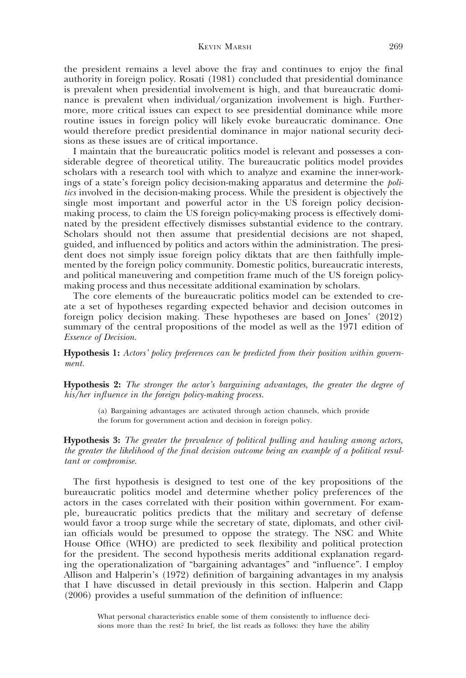the president remains a level above the fray and continues to enjoy the final authority in foreign policy. Rosati (1981) concluded that presidential dominance is prevalent when presidential involvement is high, and that bureaucratic dominance is prevalent when individual/organization involvement is high. Furthermore, more critical issues can expect to see presidential dominance while more routine issues in foreign policy will likely evoke bureaucratic dominance. One would therefore predict presidential dominance in major national security decisions as these issues are of critical importance.

I maintain that the bureaucratic politics model is relevant and possesses a considerable degree of theoretical utility. The bureaucratic politics model provides scholars with a research tool with which to analyze and examine the inner-workings of a state's foreign policy decision-making apparatus and determine the *poli*tics involved in the decision-making process. While the president is objectively the single most important and powerful actor in the US foreign policy decisionmaking process, to claim the US foreign policy-making process is effectively dominated by the president effectively dismisses substantial evidence to the contrary. Scholars should not then assume that presidential decisions are not shaped, guided, and influenced by politics and actors within the administration. The president does not simply issue foreign policy diktats that are then faithfully implemented by the foreign policy community. Domestic politics, bureaucratic interests, and political maneuvering and competition frame much of the US foreign policymaking process and thus necessitate additional examination by scholars.

The core elements of the bureaucratic politics model can be extended to create a set of hypotheses regarding expected behavior and decision outcomes in foreign policy decision making. These hypotheses are based on Jones' (2012) summary of the central propositions of the model as well as the 1971 edition of Essence of Decision.

Hypothesis 1: Actors' policy preferences can be predicted from their position within government.

Hypothesis 2: The stronger the actor's bargaining advantages, the greater the degree of his/her influence in the foreign policy-making process.

(a) Bargaining advantages are activated through action channels, which provide the forum for government action and decision in foreign policy.

Hypothesis 3: The greater the prevalence of political pulling and hauling among actors, the greater the likelihood of the final decision outcome being an example of a political resultant or compromise.

The first hypothesis is designed to test one of the key propositions of the bureaucratic politics model and determine whether policy preferences of the actors in the cases correlated with their position within government. For example, bureaucratic politics predicts that the military and secretary of defense would favor a troop surge while the secretary of state, diplomats, and other civilian officials would be presumed to oppose the strategy. The NSC and White House Office (WHO) are predicted to seek flexibility and political protection for the president. The second hypothesis merits additional explanation regarding the operationalization of "bargaining advantages" and "influence". I employ Allison and Halperin's (1972) definition of bargaining advantages in my analysis that I have discussed in detail previously in this section. Halperin and Clapp (2006) provides a useful summation of the definition of influence:

What personal characteristics enable some of them consistently to influence decisions more than the rest? In brief, the list reads as follows: they have the ability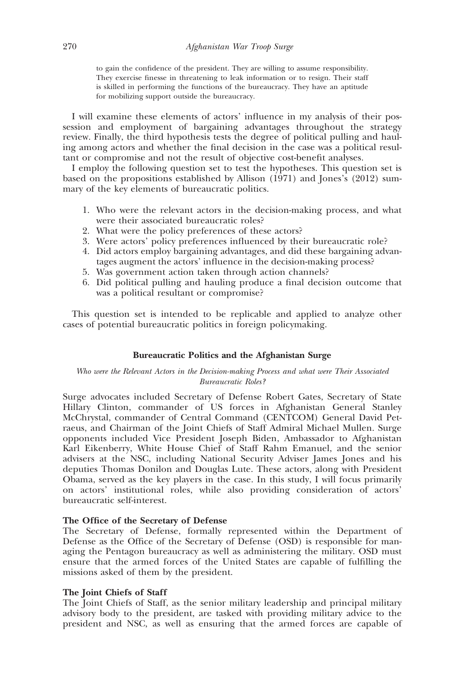to gain the confidence of the president. They are willing to assume responsibility. They exercise finesse in threatening to leak information or to resign. Their staff is skilled in performing the functions of the bureaucracy. They have an aptitude for mobilizing support outside the bureaucracy.

I will examine these elements of actors' influence in my analysis of their possession and employment of bargaining advantages throughout the strategy review. Finally, the third hypothesis tests the degree of political pulling and hauling among actors and whether the final decision in the case was a political resultant or compromise and not the result of objective cost-benefit analyses.

I employ the following question set to test the hypotheses. This question set is based on the propositions established by Allison (1971) and Jones's (2012) summary of the key elements of bureaucratic politics.

- 1. Who were the relevant actors in the decision-making process, and what were their associated bureaucratic roles?
- 2. What were the policy preferences of these actors?
- 3. Were actors' policy preferences influenced by their bureaucratic role?
- 4. Did actors employ bargaining advantages, and did these bargaining advantages augment the actors' influence in the decision-making process?
- 5. Was government action taken through action channels?
- 6. Did political pulling and hauling produce a final decision outcome that was a political resultant or compromise?

This question set is intended to be replicable and applied to analyze other cases of potential bureaucratic politics in foreign policymaking.

## Bureaucratic Politics and the Afghanistan Surge

## Who were the Relevant Actors in the Decision-making Process and what were Their Associated Bureaucratic Roles?

Surge advocates included Secretary of Defense Robert Gates, Secretary of State Hillary Clinton, commander of US forces in Afghanistan General Stanley McChrystal, commander of Central Command (CENTCOM) General David Petraeus, and Chairman of the Joint Chiefs of Staff Admiral Michael Mullen. Surge opponents included Vice President Joseph Biden, Ambassador to Afghanistan Karl Eikenberry, White House Chief of Staff Rahm Emanuel, and the senior advisers at the NSC, including National Security Adviser James Jones and his deputies Thomas Donilon and Douglas Lute. These actors, along with President Obama, served as the key players in the case. In this study, I will focus primarily on actors' institutional roles, while also providing consideration of actors' bureaucratic self-interest.

#### The Office of the Secretary of Defense

The Secretary of Defense, formally represented within the Department of Defense as the Office of the Secretary of Defense (OSD) is responsible for managing the Pentagon bureaucracy as well as administering the military. OSD must ensure that the armed forces of the United States are capable of fulfilling the missions asked of them by the president.

# The Joint Chiefs of Staff

The Joint Chiefs of Staff, as the senior military leadership and principal military advisory body to the president, are tasked with providing military advice to the president and NSC, as well as ensuring that the armed forces are capable of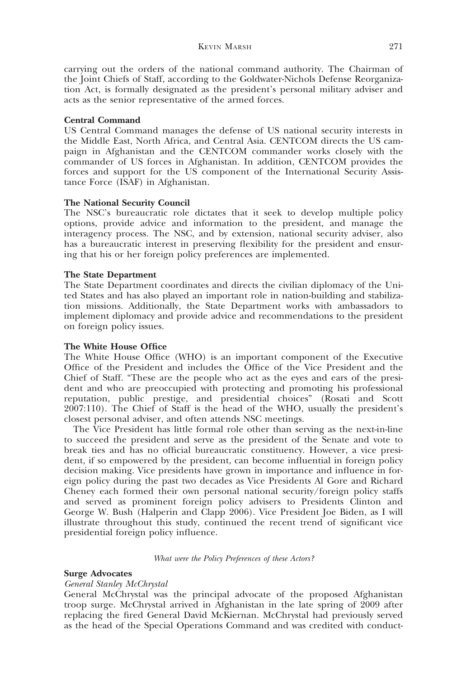carrying out the orders of the national command authority. The Chairman of the Joint Chiefs of Staff, according to the Goldwater-Nichols Defense Reorganization Act, is formally designated as the president's personal military adviser and acts as the senior representative of the armed forces.

# Central Command

US Central Command manages the defense of US national security interests in the Middle East, North Africa, and Central Asia. CENTCOM directs the US campaign in Afghanistan and the CENTCOM commander works closely with the commander of US forces in Afghanistan. In addition, CENTCOM provides the forces and support for the US component of the International Security Assistance Force (ISAF) in Afghanistan.

# The National Security Council

The NSC's bureaucratic role dictates that it seek to develop multiple policy options, provide advice and information to the president, and manage the interagency process. The NSC, and by extension, national security adviser, also has a bureaucratic interest in preserving flexibility for the president and ensuring that his or her foreign policy preferences are implemented.

## The State Department

The State Department coordinates and directs the civilian diplomacy of the United States and has also played an important role in nation-building and stabilization missions. Additionally, the State Department works with ambassadors to implement diplomacy and provide advice and recommendations to the president on foreign policy issues.

## The White House Office

The White House Office (WHO) is an important component of the Executive Office of the President and includes the Office of the Vice President and the Chief of Staff. "These are the people who act as the eyes and ears of the president and who are preoccupied with protecting and promoting his professional reputation, public prestige, and presidential choices" (Rosati and Scott 2007:110). The Chief of Staff is the head of the WHO, usually the president's closest personal adviser, and often attends NSC meetings.

The Vice President has little formal role other than serving as the next-in-line to succeed the president and serve as the president of the Senate and vote to break ties and has no official bureaucratic constituency. However, a vice president, if so empowered by the president, can become influential in foreign policy decision making. Vice presidents have grown in importance and influence in foreign policy during the past two decades as Vice Presidents Al Gore and Richard Cheney each formed their own personal national security/foreign policy staffs and served as prominent foreign policy advisers to Presidents Clinton and George W. Bush (Halperin and Clapp 2006). Vice President Joe Biden, as I will illustrate throughout this study, continued the recent trend of significant vice presidential foreign policy influence.

What were the Policy Preferences of these Actors?

## Surge Advocates

## General Stanley McChrystal

General McChrystal was the principal advocate of the proposed Afghanistan troop surge. McChrystal arrived in Afghanistan in the late spring of 2009 after replacing the fired General David McKiernan. McChrystal had previously served as the head of the Special Operations Command and was credited with conduct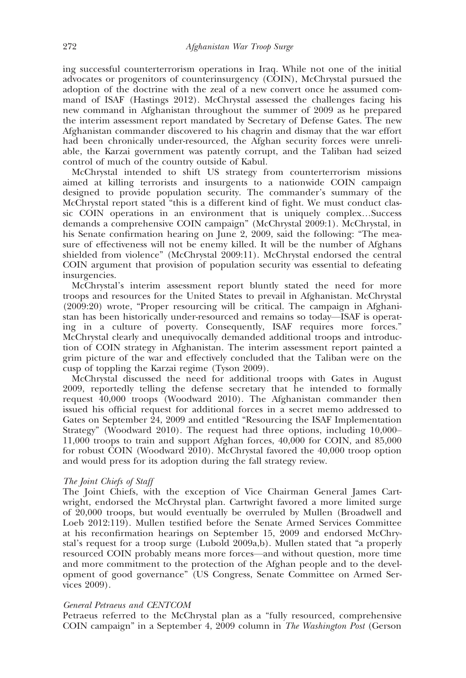ing successful counterterrorism operations in Iraq. While not one of the initial advocates or progenitors of counterinsurgency (COIN), McChrystal pursued the adoption of the doctrine with the zeal of a new convert once he assumed command of ISAF (Hastings 2012). McChrystal assessed the challenges facing his new command in Afghanistan throughout the summer of 2009 as he prepared the interim assessment report mandated by Secretary of Defense Gates. The new Afghanistan commander discovered to his chagrin and dismay that the war effort had been chronically under-resourced, the Afghan security forces were unreliable, the Karzai government was patently corrupt, and the Taliban had seized control of much of the country outside of Kabul.

McChrystal intended to shift US strategy from counterterrorism missions aimed at killing terrorists and insurgents to a nationwide COIN campaign designed to provide population security. The commander's summary of the McChrystal report stated "this is a different kind of fight. We must conduct classic COIN operations in an environment that is uniquely complex…Success demands a comprehensive COIN campaign" (McChrystal 2009:1). McChrystal, in his Senate confirmation hearing on June 2, 2009, said the following: "The measure of effectiveness will not be enemy killed. It will be the number of Afghans shielded from violence" (McChrystal 2009:11). McChrystal endorsed the central COIN argument that provision of population security was essential to defeating insurgencies.

McChrystal's interim assessment report bluntly stated the need for more troops and resources for the United States to prevail in Afghanistan. McChrystal (2009:20) wrote, "Proper resourcing will be critical. The campaign in Afghanistan has been historically under-resourced and remains so today—ISAF is operating in a culture of poverty. Consequently, ISAF requires more forces." McChrystal clearly and unequivocally demanded additional troops and introduction of COIN strategy in Afghanistan. The interim assessment report painted a grim picture of the war and effectively concluded that the Taliban were on the cusp of toppling the Karzai regime (Tyson 2009).

McChrystal discussed the need for additional troops with Gates in August 2009, reportedly telling the defense secretary that he intended to formally request 40,000 troops (Woodward 2010). The Afghanistan commander then issued his official request for additional forces in a secret memo addressed to Gates on September 24, 2009 and entitled "Resourcing the ISAF Implementation Strategy" (Woodward 2010). The request had three options, including 10,000– 11,000 troops to train and support Afghan forces, 40,000 for COIN, and 85,000 for robust COIN (Woodward 2010). McChrystal favored the 40,000 troop option and would press for its adoption during the fall strategy review.

## The Joint Chiefs of Staff

The Joint Chiefs, with the exception of Vice Chairman General James Cartwright, endorsed the McChrystal plan. Cartwright favored a more limited surge of 20,000 troops, but would eventually be overruled by Mullen (Broadwell and Loeb 2012:119). Mullen testified before the Senate Armed Services Committee at his reconfirmation hearings on September 15, 2009 and endorsed McChrystal's request for a troop surge (Lubold 2009a,b). Mullen stated that "a properly resourced COIN probably means more forces—and without question, more time and more commitment to the protection of the Afghan people and to the development of good governance" (US Congress, Senate Committee on Armed Services 2009).

#### General Petraeus and CENTCOM

Petraeus referred to the McChrystal plan as a "fully resourced, comprehensive COIN campaign" in a September 4, 2009 column in The Washington Post (Gerson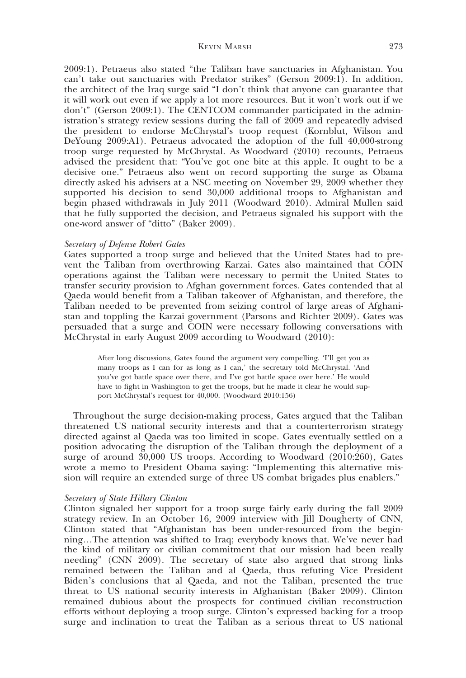2009:1). Petraeus also stated "the Taliban have sanctuaries in Afghanistan. You can't take out sanctuaries with Predator strikes" (Gerson 2009:1). In addition, the architect of the Iraq surge said "I don't think that anyone can guarantee that it will work out even if we apply a lot more resources. But it won't work out if we don't" (Gerson 2009:1). The CENTCOM commander participated in the administration's strategy review sessions during the fall of 2009 and repeatedly advised the president to endorse McChrystal's troop request (Kornblut, Wilson and DeYoung 2009:A1). Petraeus advocated the adoption of the full 40,000-strong troop surge requested by McChrystal. As Woodward (2010) recounts, Petraeus advised the president that: "You've got one bite at this apple. It ought to be a decisive one." Petraeus also went on record supporting the surge as Obama directly asked his advisers at a NSC meeting on November 29, 2009 whether they supported his decision to send 30,000 additional troops to Afghanistan and begin phased withdrawals in July 2011 (Woodward 2010). Admiral Mullen said that he fully supported the decision, and Petraeus signaled his support with the one-word answer of "ditto" (Baker 2009).

### Secretary of Defense Robert Gates

Gates supported a troop surge and believed that the United States had to prevent the Taliban from overthrowing Karzai. Gates also maintained that COIN operations against the Taliban were necessary to permit the United States to transfer security provision to Afghan government forces. Gates contended that al Qaeda would benefit from a Taliban takeover of Afghanistan, and therefore, the Taliban needed to be prevented from seizing control of large areas of Afghanistan and toppling the Karzai government (Parsons and Richter 2009). Gates was persuaded that a surge and COIN were necessary following conversations with McChrystal in early August 2009 according to Woodward (2010):

After long discussions, Gates found the argument very compelling. 'I'll get you as many troops as I can for as long as I can,' the secretary told McChrystal. 'And you've got battle space over there, and I've got battle space over here.' He would have to fight in Washington to get the troops, but he made it clear he would support McChrystal's request for 40,000. (Woodward 2010:156)

Throughout the surge decision-making process, Gates argued that the Taliban threatened US national security interests and that a counterterrorism strategy directed against al Qaeda was too limited in scope. Gates eventually settled on a position advocating the disruption of the Taliban through the deployment of a surge of around 30,000 US troops. According to Woodward (2010:260), Gates wrote a memo to President Obama saying: "Implementing this alternative mission will require an extended surge of three US combat brigades plus enablers."

## Secretary of State Hillary Clinton

Clinton signaled her support for a troop surge fairly early during the fall 2009 strategy review. In an October 16, 2009 interview with Jill Dougherty of CNN, Clinton stated that "Afghanistan has been under-resourced from the beginning…The attention was shifted to Iraq; everybody knows that. We've never had the kind of military or civilian commitment that our mission had been really needing" (CNN 2009). The secretary of state also argued that strong links remained between the Taliban and al Qaeda, thus refuting Vice President Biden's conclusions that al Qaeda, and not the Taliban, presented the true threat to US national security interests in Afghanistan (Baker 2009). Clinton remained dubious about the prospects for continued civilian reconstruction efforts without deploying a troop surge. Clinton's expressed backing for a troop surge and inclination to treat the Taliban as a serious threat to US national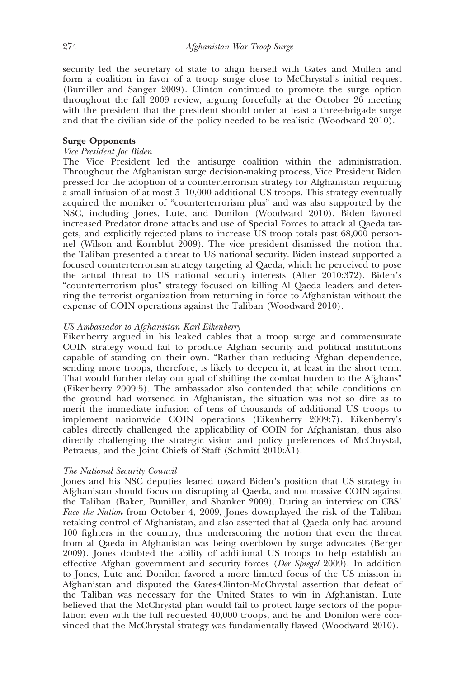security led the secretary of state to align herself with Gates and Mullen and form a coalition in favor of a troop surge close to McChrystal's initial request (Bumiller and Sanger 2009). Clinton continued to promote the surge option throughout the fall 2009 review, arguing forcefully at the October 26 meeting with the president that the president should order at least a three-brigade surge and that the civilian side of the policy needed to be realistic (Woodward 2010).

# Surge Opponents

# Vice President Joe Biden

The Vice President led the antisurge coalition within the administration. Throughout the Afghanistan surge decision-making process, Vice President Biden pressed for the adoption of a counterterrorism strategy for Afghanistan requiring a small infusion of at most 5–10,000 additional US troops. This strategy eventually acquired the moniker of "counterterrorism plus" and was also supported by the NSC, including Jones, Lute, and Donilon (Woodward 2010). Biden favored increased Predator drone attacks and use of Special Forces to attack al Qaeda targets, and explicitly rejected plans to increase US troop totals past 68,000 personnel (Wilson and Kornblut 2009). The vice president dismissed the notion that the Taliban presented a threat to US national security. Biden instead supported a focused counterterrorism strategy targeting al Qaeda, which he perceived to pose the actual threat to US national security interests (Alter 2010:372). Biden's "counterterrorism plus" strategy focused on killing Al Qaeda leaders and deterring the terrorist organization from returning in force to Afghanistan without the expense of COIN operations against the Taliban (Woodward 2010).

## US Ambassador to Afghanistan Karl Eikenberry

Eikenberry argued in his leaked cables that a troop surge and commensurate COIN strategy would fail to produce Afghan security and political institutions capable of standing on their own. "Rather than reducing Afghan dependence, sending more troops, therefore, is likely to deepen it, at least in the short term. That would further delay our goal of shifting the combat burden to the Afghans" (Eikenberry 2009:5). The ambassador also contended that while conditions on the ground had worsened in Afghanistan, the situation was not so dire as to merit the immediate infusion of tens of thousands of additional US troops to implement nationwide COIN operations (Eikenberry 2009:7). Eikenberry's cables directly challenged the applicability of COIN for Afghanistan, thus also directly challenging the strategic vision and policy preferences of McChrystal, Petraeus, and the Joint Chiefs of Staff (Schmitt 2010:A1).

## The National Security Council

Jones and his NSC deputies leaned toward Biden's position that US strategy in Afghanistan should focus on disrupting al Qaeda, and not massive COIN against the Taliban (Baker, Bumiller, and Shanker 2009). During an interview on CBS' Face the Nation from October 4, 2009, Jones downplayed the risk of the Taliban retaking control of Afghanistan, and also asserted that al Qaeda only had around 100 fighters in the country, thus underscoring the notion that even the threat from al Qaeda in Afghanistan was being overblown by surge advocates (Berger 2009). Jones doubted the ability of additional US troops to help establish an effective Afghan government and security forces (Der Spiegel 2009). In addition to Jones, Lute and Donilon favored a more limited focus of the US mission in Afghanistan and disputed the Gates-Clinton-McChrystal assertion that defeat of the Taliban was necessary for the United States to win in Afghanistan. Lute believed that the McChrystal plan would fail to protect large sectors of the population even with the full requested 40,000 troops, and he and Donilon were convinced that the McChrystal strategy was fundamentally flawed (Woodward 2010).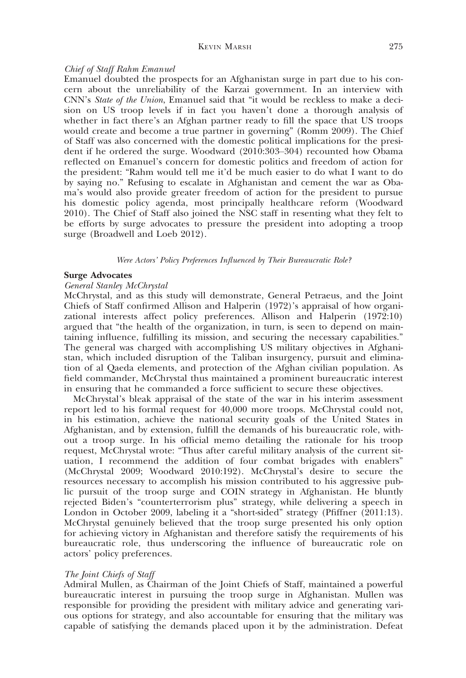## Chief of Staff Rahm Emanuel

Emanuel doubted the prospects for an Afghanistan surge in part due to his concern about the unreliability of the Karzai government. In an interview with CNN's State of the Union, Emanuel said that "it would be reckless to make a decision on US troop levels if in fact you haven't done a thorough analysis of whether in fact there's an Afghan partner ready to fill the space that US troops would create and become a true partner in governing" (Romm 2009). The Chief of Staff was also concerned with the domestic political implications for the president if he ordered the surge. Woodward (2010:303–304) recounted how Obama reflected on Emanuel's concern for domestic politics and freedom of action for the president: "Rahm would tell me it'd be much easier to do what I want to do by saying no." Refusing to escalate in Afghanistan and cement the war as Obama's would also provide greater freedom of action for the president to pursue his domestic policy agenda, most principally healthcare reform (Woodward 2010). The Chief of Staff also joined the NSC staff in resenting what they felt to be efforts by surge advocates to pressure the president into adopting a troop surge (Broadwell and Loeb 2012).

#### Were Actors' Policy Preferences Influenced by Their Bureaucratic Role?

#### Surge Advocates

## General Stanley McChrystal

McChrystal, and as this study will demonstrate, General Petraeus, and the Joint Chiefs of Staff confirmed Allison and Halperin (1972)'s appraisal of how organizational interests affect policy preferences. Allison and Halperin (1972:10) argued that "the health of the organization, in turn, is seen to depend on maintaining influence, fulfilling its mission, and securing the necessary capabilities." The general was charged with accomplishing US military objectives in Afghanistan, which included disruption of the Taliban insurgency, pursuit and elimination of al Qaeda elements, and protection of the Afghan civilian population. As field commander, McChrystal thus maintained a prominent bureaucratic interest in ensuring that he commanded a force sufficient to secure these objectives.

McChrystal's bleak appraisal of the state of the war in his interim assessment report led to his formal request for 40,000 more troops. McChrystal could not, in his estimation, achieve the national security goals of the United States in Afghanistan, and by extension, fulfill the demands of his bureaucratic role, without a troop surge. In his official memo detailing the rationale for his troop request, McChrystal wrote: "Thus after careful military analysis of the current situation, I recommend the addition of four combat brigades with enablers" (McChrystal 2009; Woodward 2010:192). McChrystal's desire to secure the resources necessary to accomplish his mission contributed to his aggressive public pursuit of the troop surge and COIN strategy in Afghanistan. He bluntly rejected Biden's "counterterrorism plus" strategy, while delivering a speech in London in October 2009, labeling it a "short-sided" strategy (Pfiffner (2011:13). McChrystal genuinely believed that the troop surge presented his only option for achieving victory in Afghanistan and therefore satisfy the requirements of his bureaucratic role, thus underscoring the influence of bureaucratic role on actors' policy preferences.

#### The Joint Chiefs of Staff

Admiral Mullen, as Chairman of the Joint Chiefs of Staff, maintained a powerful bureaucratic interest in pursuing the troop surge in Afghanistan. Mullen was responsible for providing the president with military advice and generating various options for strategy, and also accountable for ensuring that the military was capable of satisfying the demands placed upon it by the administration. Defeat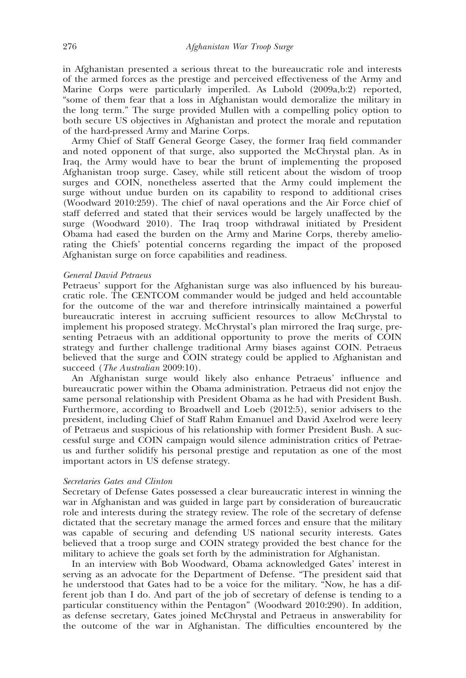in Afghanistan presented a serious threat to the bureaucratic role and interests of the armed forces as the prestige and perceived effectiveness of the Army and Marine Corps were particularly imperiled. As Lubold (2009a,b:2) reported, "some of them fear that a loss in Afghanistan would demoralize the military in the long term." The surge provided Mullen with a compelling policy option to both secure US objectives in Afghanistan and protect the morale and reputation of the hard-pressed Army and Marine Corps.

Army Chief of Staff General George Casey, the former Iraq field commander and noted opponent of that surge, also supported the McChrystal plan. As in Iraq, the Army would have to bear the brunt of implementing the proposed Afghanistan troop surge. Casey, while still reticent about the wisdom of troop surges and COIN, nonetheless asserted that the Army could implement the surge without undue burden on its capability to respond to additional crises (Woodward 2010:259). The chief of naval operations and the Air Force chief of staff deferred and stated that their services would be largely unaffected by the surge (Woodward 2010). The Iraq troop withdrawal initiated by President Obama had eased the burden on the Army and Marine Corps, thereby ameliorating the Chiefs' potential concerns regarding the impact of the proposed Afghanistan surge on force capabilities and readiness.

#### General David Petraeus

Petraeus' support for the Afghanistan surge was also influenced by his bureaucratic role. The CENTCOM commander would be judged and held accountable for the outcome of the war and therefore intrinsically maintained a powerful bureaucratic interest in accruing sufficient resources to allow McChrystal to implement his proposed strategy. McChrystal's plan mirrored the Iraq surge, presenting Petraeus with an additional opportunity to prove the merits of COIN strategy and further challenge traditional Army biases against COIN. Petraeus believed that the surge and COIN strategy could be applied to Afghanistan and succeed (The Australian 2009:10).

An Afghanistan surge would likely also enhance Petraeus' influence and bureaucratic power within the Obama administration. Petraeus did not enjoy the same personal relationship with President Obama as he had with President Bush. Furthermore, according to Broadwell and Loeb (2012:5), senior advisers to the president, including Chief of Staff Rahm Emanuel and David Axelrod were leery of Petraeus and suspicious of his relationship with former President Bush. A successful surge and COIN campaign would silence administration critics of Petraeus and further solidify his personal prestige and reputation as one of the most important actors in US defense strategy.

## Secretaries Gates and Clinton

Secretary of Defense Gates possessed a clear bureaucratic interest in winning the war in Afghanistan and was guided in large part by consideration of bureaucratic role and interests during the strategy review. The role of the secretary of defense dictated that the secretary manage the armed forces and ensure that the military was capable of securing and defending US national security interests. Gates believed that a troop surge and COIN strategy provided the best chance for the military to achieve the goals set forth by the administration for Afghanistan.

In an interview with Bob Woodward, Obama acknowledged Gates' interest in serving as an advocate for the Department of Defense. "The president said that he understood that Gates had to be a voice for the military. "Now, he has a different job than I do. And part of the job of secretary of defense is tending to a particular constituency within the Pentagon" (Woodward 2010:290). In addition, as defense secretary, Gates joined McChrystal and Petraeus in answerability for the outcome of the war in Afghanistan. The difficulties encountered by the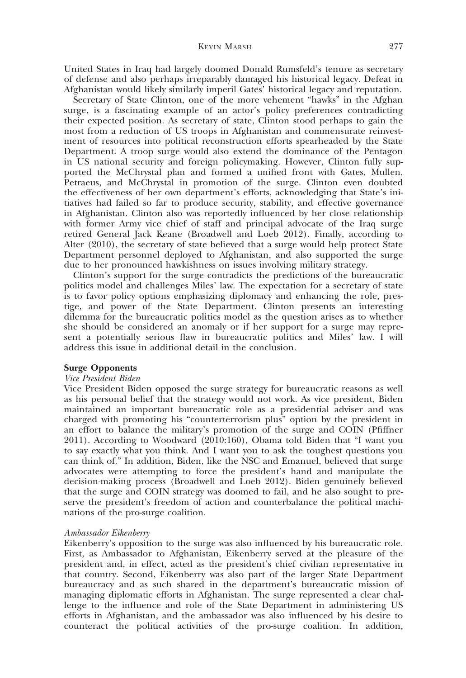United States in Iraq had largely doomed Donald Rumsfeld's tenure as secretary of defense and also perhaps irreparably damaged his historical legacy. Defeat in Afghanistan would likely similarly imperil Gates' historical legacy and reputation.

Secretary of State Clinton, one of the more vehement "hawks" in the Afghan surge, is a fascinating example of an actor's policy preferences contradicting their expected position. As secretary of state, Clinton stood perhaps to gain the most from a reduction of US troops in Afghanistan and commensurate reinvestment of resources into political reconstruction efforts spearheaded by the State Department. A troop surge would also extend the dominance of the Pentagon in US national security and foreign policymaking. However, Clinton fully supported the McChrystal plan and formed a unified front with Gates, Mullen, Petraeus, and McChrystal in promotion of the surge. Clinton even doubted the effectiveness of her own department's efforts, acknowledging that State's initiatives had failed so far to produce security, stability, and effective governance in Afghanistan. Clinton also was reportedly influenced by her close relationship with former Army vice chief of staff and principal advocate of the Iraq surge retired General Jack Keane (Broadwell and Loeb 2012). Finally, according to Alter (2010), the secretary of state believed that a surge would help protect State Department personnel deployed to Afghanistan, and also supported the surge due to her pronounced hawkishness on issues involving military strategy.

Clinton's support for the surge contradicts the predictions of the bureaucratic politics model and challenges Miles' law. The expectation for a secretary of state is to favor policy options emphasizing diplomacy and enhancing the role, prestige, and power of the State Department. Clinton presents an interesting dilemma for the bureaucratic politics model as the question arises as to whether she should be considered an anomaly or if her support for a surge may represent a potentially serious flaw in bureaucratic politics and Miles' law. I will address this issue in additional detail in the conclusion.

## Surge Opponents

# Vice President Biden

Vice President Biden opposed the surge strategy for bureaucratic reasons as well as his personal belief that the strategy would not work. As vice president, Biden maintained an important bureaucratic role as a presidential adviser and was charged with promoting his "counterterrorism plus" option by the president in an effort to balance the military's promotion of the surge and COIN (Pfiffner 2011). According to Woodward (2010:160), Obama told Biden that "I want you to say exactly what you think. And I want you to ask the toughest questions you can think of." In addition, Biden, like the NSC and Emanuel, believed that surge advocates were attempting to force the president's hand and manipulate the decision-making process (Broadwell and Loeb 2012). Biden genuinely believed that the surge and COIN strategy was doomed to fail, and he also sought to preserve the president's freedom of action and counterbalance the political machinations of the pro-surge coalition.

#### Ambassador Eikenberry

Eikenberry's opposition to the surge was also influenced by his bureaucratic role. First, as Ambassador to Afghanistan, Eikenberry served at the pleasure of the president and, in effect, acted as the president's chief civilian representative in that country. Second, Eikenberry was also part of the larger State Department bureaucracy and as such shared in the department's bureaucratic mission of managing diplomatic efforts in Afghanistan. The surge represented a clear challenge to the influence and role of the State Department in administering US efforts in Afghanistan, and the ambassador was also influenced by his desire to counteract the political activities of the pro-surge coalition. In addition,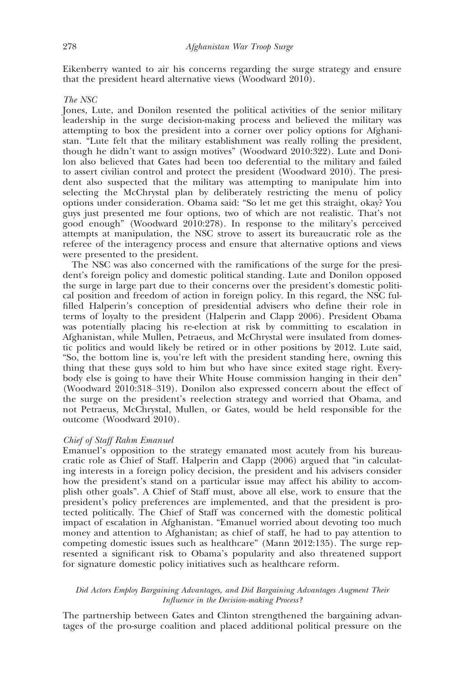Eikenberry wanted to air his concerns regarding the surge strategy and ensure that the president heard alternative views (Woodward 2010).

## The NSC

Jones, Lute, and Donilon resented the political activities of the senior military leadership in the surge decision-making process and believed the military was attempting to box the president into a corner over policy options for Afghanistan. "Lute felt that the military establishment was really rolling the president, though he didn't want to assign motives" (Woodward 2010:322). Lute and Donilon also believed that Gates had been too deferential to the military and failed to assert civilian control and protect the president (Woodward 2010). The president also suspected that the military was attempting to manipulate him into selecting the McChrystal plan by deliberately restricting the menu of policy options under consideration. Obama said: "So let me get this straight, okay? You guys just presented me four options, two of which are not realistic. That's not good enough" (Woodward 2010:278). In response to the military's perceived attempts at manipulation, the NSC strove to assert its bureaucratic role as the referee of the interagency process and ensure that alternative options and views were presented to the president.

The NSC was also concerned with the ramifications of the surge for the president's foreign policy and domestic political standing. Lute and Donilon opposed the surge in large part due to their concerns over the president's domestic political position and freedom of action in foreign policy. In this regard, the NSC fulfilled Halperin's conception of presidential advisers who define their role in terms of loyalty to the president (Halperin and Clapp 2006). President Obama was potentially placing his re-election at risk by committing to escalation in Afghanistan, while Mullen, Petraeus, and McChrystal were insulated from domestic politics and would likely be retired or in other positions by 2012. Lute said, "So, the bottom line is, you're left with the president standing here, owning this thing that these guys sold to him but who have since exited stage right. Everybody else is going to have their White House commission hanging in their den" (Woodward 2010:318–319). Donilon also expressed concern about the effect of the surge on the president's reelection strategy and worried that Obama, and not Petraeus, McChrystal, Mullen, or Gates, would be held responsible for the outcome (Woodward 2010).

# Chief of Staff Rahm Emanuel

Emanuel's opposition to the strategy emanated most acutely from his bureaucratic role as Chief of Staff. Halperin and Clapp (2006) argued that "in calculating interests in a foreign policy decision, the president and his advisers consider how the president's stand on a particular issue may affect his ability to accomplish other goals". A Chief of Staff must, above all else, work to ensure that the president's policy preferences are implemented, and that the president is protected politically. The Chief of Staff was concerned with the domestic political impact of escalation in Afghanistan. "Emanuel worried about devoting too much money and attention to Afghanistan; as chief of staff, he had to pay attention to competing domestic issues such as healthcare" (Mann 2012:135). The surge represented a significant risk to Obama's popularity and also threatened support for signature domestic policy initiatives such as healthcare reform.

Did Actors Employ Bargaining Advantages, and Did Bargaining Advantages Augment Their Influence in the Decision-making Process?

The partnership between Gates and Clinton strengthened the bargaining advantages of the pro-surge coalition and placed additional political pressure on the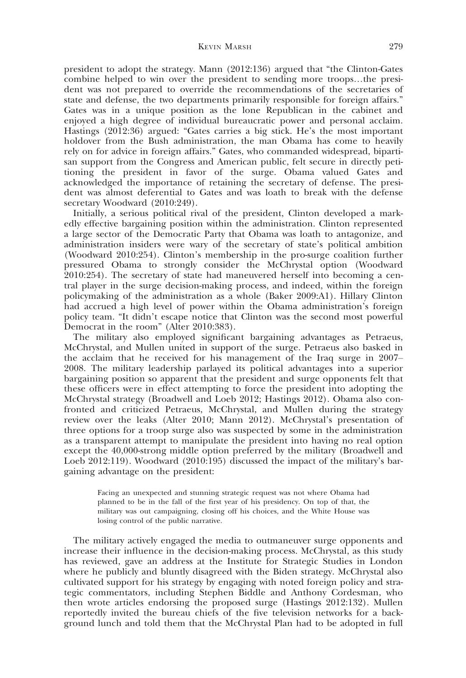president to adopt the strategy. Mann (2012:136) argued that "the Clinton-Gates combine helped to win over the president to sending more troops…the president was not prepared to override the recommendations of the secretaries of state and defense, the two departments primarily responsible for foreign affairs." Gates was in a unique position as the lone Republican in the cabinet and enjoyed a high degree of individual bureaucratic power and personal acclaim. Hastings (2012:36) argued: "Gates carries a big stick. He's the most important holdover from the Bush administration, the man Obama has come to heavily rely on for advice in foreign affairs." Gates, who commanded widespread, bipartisan support from the Congress and American public, felt secure in directly petitioning the president in favor of the surge. Obama valued Gates and acknowledged the importance of retaining the secretary of defense. The president was almost deferential to Gates and was loath to break with the defense secretary Woodward (2010:249).

Initially, a serious political rival of the president, Clinton developed a markedly effective bargaining position within the administration. Clinton represented a large sector of the Democratic Party that Obama was loath to antagonize, and administration insiders were wary of the secretary of state's political ambition (Woodward 2010:254). Clinton's membership in the pro-surge coalition further pressured Obama to strongly consider the McChrystal option (Woodward 2010:254). The secretary of state had maneuvered herself into becoming a central player in the surge decision-making process, and indeed, within the foreign policymaking of the administration as a whole (Baker 2009:A1). Hillary Clinton had accrued a high level of power within the Obama administration's foreign policy team. "It didn't escape notice that Clinton was the second most powerful Democrat in the room" (Alter 2010:383).

The military also employed significant bargaining advantages as Petraeus, McChrystal, and Mullen united in support of the surge. Petraeus also basked in the acclaim that he received for his management of the Iraq surge in 2007– 2008. The military leadership parlayed its political advantages into a superior bargaining position so apparent that the president and surge opponents felt that these officers were in effect attempting to force the president into adopting the McChrystal strategy (Broadwell and Loeb 2012; Hastings 2012). Obama also confronted and criticized Petraeus, McChrystal, and Mullen during the strategy review over the leaks (Alter 2010; Mann 2012). McChrystal's presentation of three options for a troop surge also was suspected by some in the administration as a transparent attempt to manipulate the president into having no real option except the 40,000-strong middle option preferred by the military (Broadwell and Loeb 2012:119). Woodward (2010:195) discussed the impact of the military's bargaining advantage on the president:

Facing an unexpected and stunning strategic request was not where Obama had planned to be in the fall of the first year of his presidency. On top of that, the military was out campaigning, closing off his choices, and the White House was losing control of the public narrative.

The military actively engaged the media to outmaneuver surge opponents and increase their influence in the decision-making process. McChrystal, as this study has reviewed, gave an address at the Institute for Strategic Studies in London where he publicly and bluntly disagreed with the Biden strategy. McChrystal also cultivated support for his strategy by engaging with noted foreign policy and strategic commentators, including Stephen Biddle and Anthony Cordesman, who then wrote articles endorsing the proposed surge (Hastings 2012:132). Mullen reportedly invited the bureau chiefs of the five television networks for a background lunch and told them that the McChrystal Plan had to be adopted in full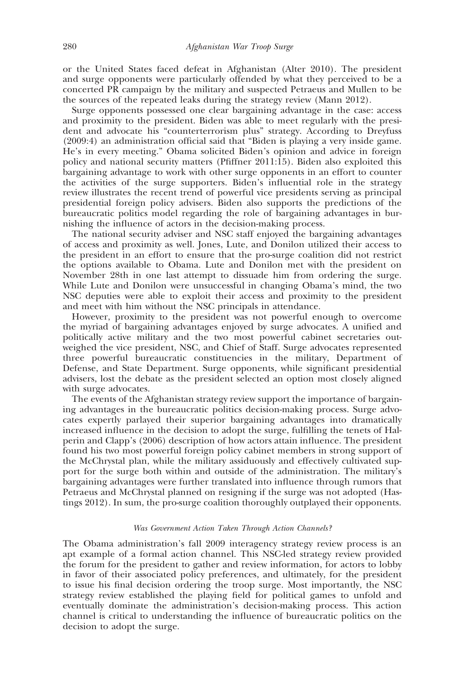or the United States faced defeat in Afghanistan (Alter 2010). The president and surge opponents were particularly offended by what they perceived to be a concerted PR campaign by the military and suspected Petraeus and Mullen to be the sources of the repeated leaks during the strategy review (Mann 2012).

Surge opponents possessed one clear bargaining advantage in the case: access and proximity to the president. Biden was able to meet regularly with the president and advocate his "counterterrorism plus" strategy. According to Dreyfuss (2009:4) an administration official said that "Biden is playing a very inside game. He's in every meeting." Obama solicited Biden's opinion and advice in foreign policy and national security matters (Pfiffner 2011:15). Biden also exploited this bargaining advantage to work with other surge opponents in an effort to counter the activities of the surge supporters. Biden's influential role in the strategy review illustrates the recent trend of powerful vice presidents serving as principal presidential foreign policy advisers. Biden also supports the predictions of the bureaucratic politics model regarding the role of bargaining advantages in burnishing the influence of actors in the decision-making process.

The national security adviser and NSC staff enjoyed the bargaining advantages of access and proximity as well. Jones, Lute, and Donilon utilized their access to the president in an effort to ensure that the pro-surge coalition did not restrict the options available to Obama. Lute and Donilon met with the president on November 28th in one last attempt to dissuade him from ordering the surge. While Lute and Donilon were unsuccessful in changing Obama's mind, the two NSC deputies were able to exploit their access and proximity to the president and meet with him without the NSC principals in attendance.

However, proximity to the president was not powerful enough to overcome the myriad of bargaining advantages enjoyed by surge advocates. A unified and politically active military and the two most powerful cabinet secretaries outweighed the vice president, NSC, and Chief of Staff. Surge advocates represented three powerful bureaucratic constituencies in the military, Department of Defense, and State Department. Surge opponents, while significant presidential advisers, lost the debate as the president selected an option most closely aligned with surge advocates.

The events of the Afghanistan strategy review support the importance of bargaining advantages in the bureaucratic politics decision-making process. Surge advocates expertly parlayed their superior bargaining advantages into dramatically increased influence in the decision to adopt the surge, fulfilling the tenets of Halperin and Clapp's (2006) description of how actors attain influence. The president found his two most powerful foreign policy cabinet members in strong support of the McChrystal plan, while the military assiduously and effectively cultivated support for the surge both within and outside of the administration. The military's bargaining advantages were further translated into influence through rumors that Petraeus and McChrystal planned on resigning if the surge was not adopted (Hastings 2012). In sum, the pro-surge coalition thoroughly outplayed their opponents.

#### Was Government Action Taken Through Action Channels?

The Obama administration's fall 2009 interagency strategy review process is an apt example of a formal action channel. This NSC-led strategy review provided the forum for the president to gather and review information, for actors to lobby in favor of their associated policy preferences, and ultimately, for the president to issue his final decision ordering the troop surge. Most importantly, the NSC strategy review established the playing field for political games to unfold and eventually dominate the administration's decision-making process. This action channel is critical to understanding the influence of bureaucratic politics on the decision to adopt the surge.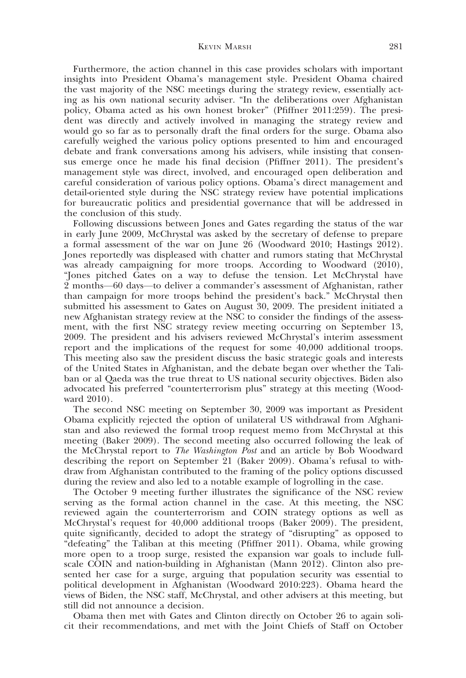Furthermore, the action channel in this case provides scholars with important insights into President Obama's management style. President Obama chaired the vast majority of the NSC meetings during the strategy review, essentially acting as his own national security adviser. "In the deliberations over Afghanistan policy, Obama acted as his own honest broker" (Pfiffner 2011:259). The president was directly and actively involved in managing the strategy review and would go so far as to personally draft the final orders for the surge. Obama also carefully weighed the various policy options presented to him and encouraged debate and frank conversations among his advisers, while insisting that consensus emerge once he made his final decision (Pfiffner 2011). The president's management style was direct, involved, and encouraged open deliberation and careful consideration of various policy options. Obama's direct management and detail-oriented style during the NSC strategy review have potential implications for bureaucratic politics and presidential governance that will be addressed in the conclusion of this study.

Following discussions between Jones and Gates regarding the status of the war in early June 2009, McChrystal was asked by the secretary of defense to prepare a formal assessment of the war on June 26 (Woodward 2010; Hastings 2012). Jones reportedly was displeased with chatter and rumors stating that McChrystal was already campaigning for more troops. According to Woodward (2010), "Jones pitched Gates on a way to defuse the tension. Let McChrystal have 2 months—60 days—to deliver a commander's assessment of Afghanistan, rather than campaign for more troops behind the president's back." McChrystal then submitted his assessment to Gates on August 30, 2009. The president initiated a new Afghanistan strategy review at the NSC to consider the findings of the assessment, with the first NSC strategy review meeting occurring on September 13, 2009. The president and his advisers reviewed McChrystal's interim assessment report and the implications of the request for some 40,000 additional troops. This meeting also saw the president discuss the basic strategic goals and interests of the United States in Afghanistan, and the debate began over whether the Taliban or al Qaeda was the true threat to US national security objectives. Biden also advocated his preferred "counterterrorism plus" strategy at this meeting (Woodward 2010).

The second NSC meeting on September 30, 2009 was important as President Obama explicitly rejected the option of unilateral US withdrawal from Afghanistan and also reviewed the formal troop request memo from McChrystal at this meeting (Baker 2009). The second meeting also occurred following the leak of the McChrystal report to The Washington Post and an article by Bob Woodward describing the report on September 21 (Baker 2009). Obama's refusal to withdraw from Afghanistan contributed to the framing of the policy options discussed during the review and also led to a notable example of logrolling in the case.

The October 9 meeting further illustrates the significance of the NSC review serving as the formal action channel in the case. At this meeting, the NSC reviewed again the counterterrorism and COIN strategy options as well as McChrystal's request for 40,000 additional troops (Baker 2009). The president, quite significantly, decided to adopt the strategy of "disrupting" as opposed to "defeating" the Taliban at this meeting (Pfiffner 2011). Obama, while growing more open to a troop surge, resisted the expansion war goals to include fullscale COIN and nation-building in Afghanistan (Mann 2012). Clinton also presented her case for a surge, arguing that population security was essential to political development in Afghanistan (Woodward 2010:223). Obama heard the views of Biden, the NSC staff, McChrystal, and other advisers at this meeting, but still did not announce a decision.

Obama then met with Gates and Clinton directly on October 26 to again solicit their recommendations, and met with the Joint Chiefs of Staff on October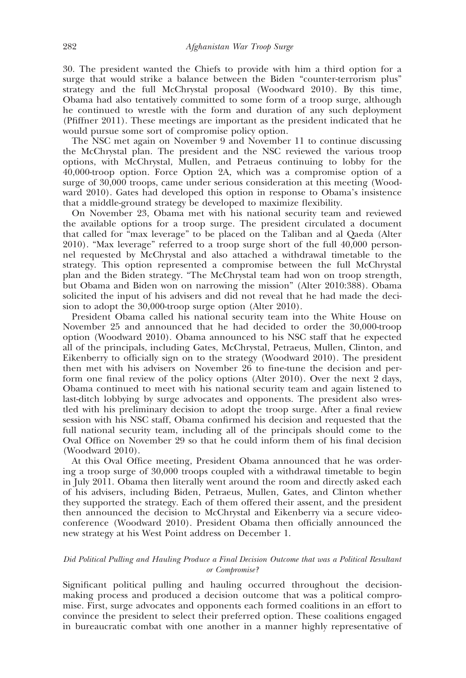30. The president wanted the Chiefs to provide with him a third option for a surge that would strike a balance between the Biden "counter-terrorism plus" strategy and the full McChrystal proposal (Woodward 2010). By this time, Obama had also tentatively committed to some form of a troop surge, although he continued to wrestle with the form and duration of any such deployment (Pfiffner 2011). These meetings are important as the president indicated that he would pursue some sort of compromise policy option.

The NSC met again on November 9 and November 11 to continue discussing the McChrystal plan. The president and the NSC reviewed the various troop options, with McChrystal, Mullen, and Petraeus continuing to lobby for the 40,000-troop option. Force Option 2A, which was a compromise option of a surge of 30,000 troops, came under serious consideration at this meeting (Woodward 2010). Gates had developed this option in response to Obama's insistence that a middle-ground strategy be developed to maximize flexibility.

On November 23, Obama met with his national security team and reviewed the available options for a troop surge. The president circulated a document that called for "max leverage" to be placed on the Taliban and al Qaeda (Alter 2010). "Max leverage" referred to a troop surge short of the full 40,000 personnel requested by McChrystal and also attached a withdrawal timetable to the strategy. This option represented a compromise between the full McChrystal plan and the Biden strategy. "The McChrystal team had won on troop strength, but Obama and Biden won on narrowing the mission" (Alter 2010:388). Obama solicited the input of his advisers and did not reveal that he had made the decision to adopt the 30,000-troop surge option (Alter 2010).

President Obama called his national security team into the White House on November 25 and announced that he had decided to order the 30,000-troop option (Woodward 2010). Obama announced to his NSC staff that he expected all of the principals, including Gates, McChrystal, Petraeus, Mullen, Clinton, and Eikenberry to officially sign on to the strategy (Woodward 2010). The president then met with his advisers on November 26 to fine-tune the decision and perform one final review of the policy options (Alter 2010). Over the next 2 days, Obama continued to meet with his national security team and again listened to last-ditch lobbying by surge advocates and opponents. The president also wrestled with his preliminary decision to adopt the troop surge. After a final review session with his NSC staff, Obama confirmed his decision and requested that the full national security team, including all of the principals should come to the Oval Office on November 29 so that he could inform them of his final decision (Woodward 2010).

At this Oval Office meeting, President Obama announced that he was ordering a troop surge of 30,000 troops coupled with a withdrawal timetable to begin in July 2011. Obama then literally went around the room and directly asked each of his advisers, including Biden, Petraeus, Mullen, Gates, and Clinton whether they supported the strategy. Each of them offered their assent, and the president then announced the decision to McChrystal and Eikenberry via a secure videoconference (Woodward 2010). President Obama then officially announced the new strategy at his West Point address on December 1.

#### Did Political Pulling and Hauling Produce a Final Decision Outcome that was a Political Resultant or Compromise?

Significant political pulling and hauling occurred throughout the decisionmaking process and produced a decision outcome that was a political compromise. First, surge advocates and opponents each formed coalitions in an effort to convince the president to select their preferred option. These coalitions engaged in bureaucratic combat with one another in a manner highly representative of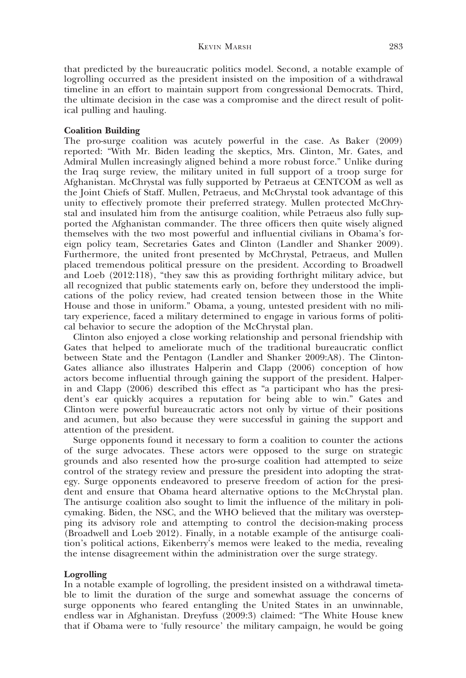that predicted by the bureaucratic politics model. Second, a notable example of logrolling occurred as the president insisted on the imposition of a withdrawal timeline in an effort to maintain support from congressional Democrats. Third, the ultimate decision in the case was a compromise and the direct result of political pulling and hauling.

#### Coalition Building

The pro-surge coalition was acutely powerful in the case. As Baker (2009) reported: "With Mr. Biden leading the skeptics, Mrs. Clinton, Mr. Gates, and Admiral Mullen increasingly aligned behind a more robust force." Unlike during the Iraq surge review, the military united in full support of a troop surge for Afghanistan. McChrystal was fully supported by Petraeus at CENTCOM as well as the Joint Chiefs of Staff. Mullen, Petraeus, and McChrystal took advantage of this unity to effectively promote their preferred strategy. Mullen protected McChrystal and insulated him from the antisurge coalition, while Petraeus also fully supported the Afghanistan commander. The three officers then quite wisely aligned themselves with the two most powerful and influential civilians in Obama's foreign policy team, Secretaries Gates and Clinton (Landler and Shanker 2009). Furthermore, the united front presented by McChrystal, Petraeus, and Mullen placed tremendous political pressure on the president. According to Broadwell and Loeb (2012:118), "they saw this as providing forthright military advice, but all recognized that public statements early on, before they understood the implications of the policy review, had created tension between those in the White House and those in uniform." Obama, a young, untested president with no military experience, faced a military determined to engage in various forms of political behavior to secure the adoption of the McChrystal plan.

Clinton also enjoyed a close working relationship and personal friendship with Gates that helped to ameliorate much of the traditional bureaucratic conflict between State and the Pentagon (Landler and Shanker 2009:A8). The Clinton-Gates alliance also illustrates Halperin and Clapp (2006) conception of how actors become influential through gaining the support of the president. Halperin and Clapp (2006) described this effect as "a participant who has the president's ear quickly acquires a reputation for being able to win." Gates and Clinton were powerful bureaucratic actors not only by virtue of their positions and acumen, but also because they were successful in gaining the support and attention of the president.

Surge opponents found it necessary to form a coalition to counter the actions of the surge advocates. These actors were opposed to the surge on strategic grounds and also resented how the pro-surge coalition had attempted to seize control of the strategy review and pressure the president into adopting the strategy. Surge opponents endeavored to preserve freedom of action for the president and ensure that Obama heard alternative options to the McChrystal plan. The antisurge coalition also sought to limit the influence of the military in policymaking. Biden, the NSC, and the WHO believed that the military was overstepping its advisory role and attempting to control the decision-making process (Broadwell and Loeb 2012). Finally, in a notable example of the antisurge coalition's political actions, Eikenberry's memos were leaked to the media, revealing the intense disagreement within the administration over the surge strategy.

## Logrolling

In a notable example of logrolling, the president insisted on a withdrawal timetable to limit the duration of the surge and somewhat assuage the concerns of surge opponents who feared entangling the United States in an unwinnable, endless war in Afghanistan. Dreyfuss (2009:3) claimed: "The White House knew that if Obama were to 'fully resource' the military campaign, he would be going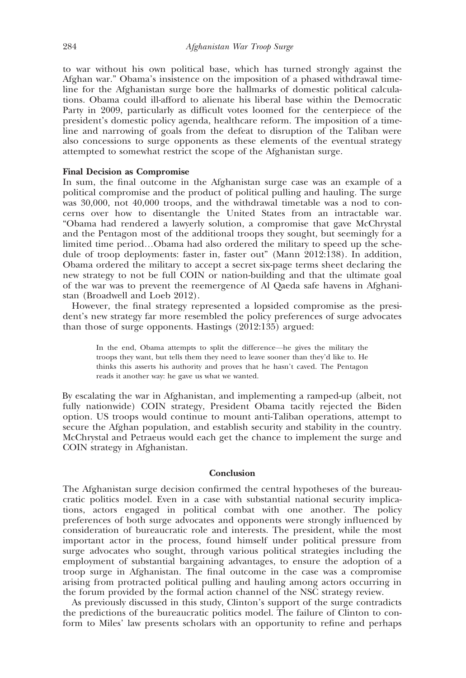to war without his own political base, which has turned strongly against the Afghan war." Obama's insistence on the imposition of a phased withdrawal timeline for the Afghanistan surge bore the hallmarks of domestic political calculations. Obama could ill-afford to alienate his liberal base within the Democratic Party in 2009, particularly as difficult votes loomed for the centerpiece of the president's domestic policy agenda, healthcare reform. The imposition of a timeline and narrowing of goals from the defeat to disruption of the Taliban were also concessions to surge opponents as these elements of the eventual strategy attempted to somewhat restrict the scope of the Afghanistan surge.

#### Final Decision as Compromise

In sum, the final outcome in the Afghanistan surge case was an example of a political compromise and the product of political pulling and hauling. The surge was 30,000, not 40,000 troops, and the withdrawal timetable was a nod to concerns over how to disentangle the United States from an intractable war. "Obama had rendered a lawyerly solution, a compromise that gave McChrystal and the Pentagon most of the additional troops they sought, but seemingly for a limited time period…Obama had also ordered the military to speed up the schedule of troop deployments: faster in, faster out" (Mann 2012:138). In addition, Obama ordered the military to accept a secret six-page terms sheet declaring the new strategy to not be full COIN or nation-building and that the ultimate goal of the war was to prevent the reemergence of Al Qaeda safe havens in Afghanistan (Broadwell and Loeb 2012).

However, the final strategy represented a lopsided compromise as the president's new strategy far more resembled the policy preferences of surge advocates than those of surge opponents. Hastings (2012:135) argued:

In the end, Obama attempts to split the difference—he gives the military the troops they want, but tells them they need to leave sooner than they'd like to. He thinks this asserts his authority and proves that he hasn't caved. The Pentagon reads it another way: he gave us what we wanted.

By escalating the war in Afghanistan, and implementing a ramped-up (albeit, not fully nationwide) COIN strategy, President Obama tacitly rejected the Biden option. US troops would continue to mount anti-Taliban operations, attempt to secure the Afghan population, and establish security and stability in the country. McChrystal and Petraeus would each get the chance to implement the surge and COIN strategy in Afghanistan.

#### Conclusion

The Afghanistan surge decision confirmed the central hypotheses of the bureaucratic politics model. Even in a case with substantial national security implications, actors engaged in political combat with one another. The policy preferences of both surge advocates and opponents were strongly influenced by consideration of bureaucratic role and interests. The president, while the most important actor in the process, found himself under political pressure from surge advocates who sought, through various political strategies including the employment of substantial bargaining advantages, to ensure the adoption of a troop surge in Afghanistan. The final outcome in the case was a compromise arising from protracted political pulling and hauling among actors occurring in the forum provided by the formal action channel of the NSC strategy review.

As previously discussed in this study, Clinton's support of the surge contradicts the predictions of the bureaucratic politics model. The failure of Clinton to conform to Miles' law presents scholars with an opportunity to refine and perhaps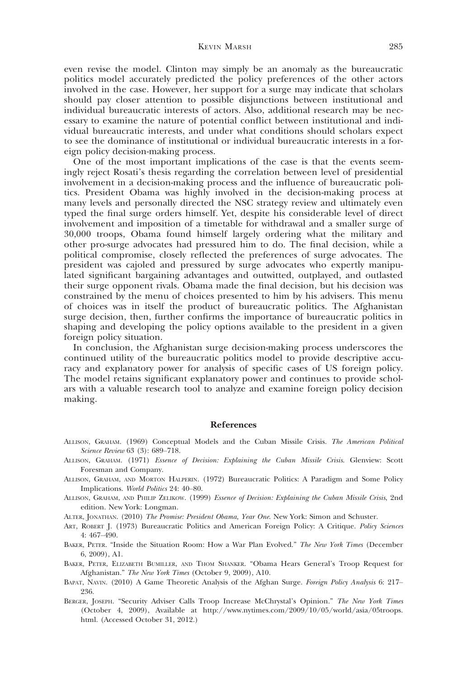even revise the model. Clinton may simply be an anomaly as the bureaucratic politics model accurately predicted the policy preferences of the other actors involved in the case. However, her support for a surge may indicate that scholars should pay closer attention to possible disjunctions between institutional and individual bureaucratic interests of actors. Also, additional research may be necessary to examine the nature of potential conflict between institutional and individual bureaucratic interests, and under what conditions should scholars expect to see the dominance of institutional or individual bureaucratic interests in a foreign policy decision-making process.

One of the most important implications of the case is that the events seemingly reject Rosati's thesis regarding the correlation between level of presidential involvement in a decision-making process and the influence of bureaucratic politics. President Obama was highly involved in the decision-making process at many levels and personally directed the NSC strategy review and ultimately even typed the final surge orders himself. Yet, despite his considerable level of direct involvement and imposition of a timetable for withdrawal and a smaller surge of 30,000 troops, Obama found himself largely ordering what the military and other pro-surge advocates had pressured him to do. The final decision, while a political compromise, closely reflected the preferences of surge advocates. The president was cajoled and pressured by surge advocates who expertly manipulated significant bargaining advantages and outwitted, outplayed, and outlasted their surge opponent rivals. Obama made the final decision, but his decision was constrained by the menu of choices presented to him by his advisers. This menu of choices was in itself the product of bureaucratic politics. The Afghanistan surge decision, then, further confirms the importance of bureaucratic politics in shaping and developing the policy options available to the president in a given foreign policy situation.

In conclusion, the Afghanistan surge decision-making process underscores the continued utility of the bureaucratic politics model to provide descriptive accuracy and explanatory power for analysis of specific cases of US foreign policy. The model retains significant explanatory power and continues to provide scholars with a valuable research tool to analyze and examine foreign policy decision making.

## References

- ALLISON, GRAHAM. (1969) Conceptual Models and the Cuban Missile Crisis. The American Political Science Review 63 (3): 689–718.
- ALLISON, GRAHAM. (1971) Essence of Decision: Explaining the Cuban Missile Crisis. Glenview: Scott Foresman and Company.
- ALLISON, GRAHAM, AND MORTON HALPERIN. (1972) Bureaucratic Politics: A Paradigm and Some Policy Implications. World Politics 24: 40–80.
- ALLISON, GRAHAM, AND PHILIP ZELIKOW. (1999) Essence of Decision: Explaining the Cuban Missile Crisis, 2nd edition. New York: Longman.
- ALTER, JONATHAN. (2010) The Promise: President Obama, Year One. New York: Simon and Schuster.
- ART, ROBERT J. (1973) Bureaucratic Politics and American Foreign Policy: A Critique. Policy Sciences 4: 467–490.
- BAKER, PETER. "Inside the Situation Room: How a War Plan Evolved." The New York Times (December 6, 2009), A1.
- BAKER, PETER, ELIZABETH BUMILLER, AND THOM SHANKER. "Obama Hears General's Troop Request for Afghanistan." The New York Times (October 9, 2009), A10.
- BAPAT, NAVIN. (2010) A Game Theoretic Analysis of the Afghan Surge. Foreign Policy Analysis 6: 217– 236.
- BERGER, JOSEPH. "Security Adviser Calls Troop Increase McChrystal's Opinion." The New York Times (October 4, 2009), Available at http://www.nytimes.com/2009/10/05/world/asia/05troops. html. (Accessed October 31, 2012.)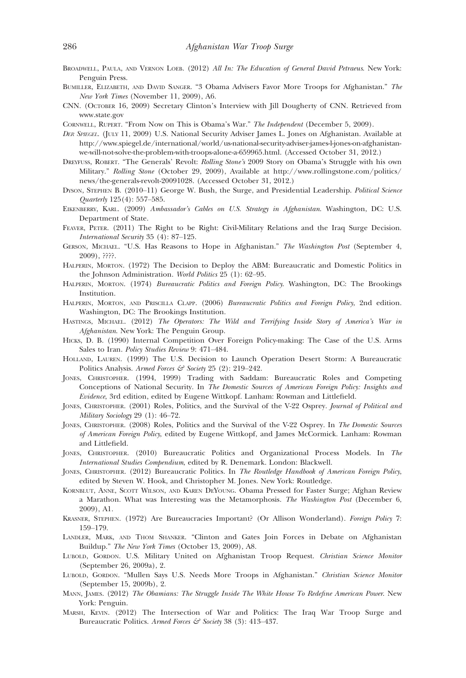- BROADWELL, PAULA, AND VERNON LOEB. (2012) All In: The Education of General David Petraeus. New York: Penguin Press.
- BUMILLER, ELIZABETH, AND DAVID SANGER. "3 Obama Advisers Favor More Troops for Afghanistan." The New York Times (November 11, 2009), A6.
- CNN. (OCTOBER 16, 2009) Secretary Clinton's Interview with Jill Dougherty of CNN. Retrieved from www.state.gov
- CORNWELL, RUPERT. "From Now on This is Obama's War." The Independent (December 5, 2009).
- DER SPIEGEL. (JULY 11, 2009) U.S. National Security Adviser James L. Jones on Afghanistan. Available at http://www.spiegel.de/international/world/us-national-security-adviser-james-l-jones-on-afghanistanwe-will-not-solve-the-problem-with-troops-alone-a-659965.html. (Accessed October 31, 2012.)
- DREYFUSS, ROBERT. "The Generals' Revolt: Rolling Stone's 2009 Story on Obama's Struggle with his own Military." Rolling Stone (October 29, 2009), Available at http://www.rollingstone.com/politics/ news/the-generals-revolt-20091028. (Accessed October 31, 2012.)
- DYSON, STEPHEN B. (2010–11) George W. Bush, the Surge, and Presidential Leadership. Political Science Quarterly 125(4): 557–585.
- EIKENBERRY, KARL. (2009) Ambassador's Cables on U.S. Strategy in Afghanistan. Washington, DC: U.S. Department of State.
- FEAVER, PETER. (2011) The Right to be Right: Civil-Military Relations and the Iraq Surge Decision. International Security 35 (4): 87–125.
- GERSON, MICHAEL. "U.S. Has Reasons to Hope in Afghanistan." The Washington Post (September 4, 2009), ????.
- HALPERIN, MORTON. (1972) The Decision to Deploy the ABM: Bureaucratic and Domestic Politics in the Johnson Administration. World Politics 25 (1): 62–95.
- HALPERIN, MORTON. (1974) Bureaucratic Politics and Foreign Policy. Washington, DC: The Brookings Institution.
- HALPERIN, MORTON, AND PRISCILLA CLAPP. (2006) Bureaucratic Politics and Foreign Policy, 2nd edition. Washington, DC: The Brookings Institution.
- HASTINGS, MICHAEL. (2012) The Operators: The Wild and Terrifying Inside Story of America's War in Afghanistan. New York: The Penguin Group.
- HICKS, D. B. (1990) Internal Competition Over Foreign Policy-making: The Case of the U.S. Arms Sales to Iran. Policy Studies Review 9: 471–484.
- HOLLAND, LAUREN. (1999) The U.S. Decision to Launch Operation Desert Storm: A Bureaucratic Politics Analysis. Armed Forces  $\mathcal{C}$  Society 25 (2): 219–242.
- JONES, CHRISTOPHER. (1994, 1999) Trading with Saddam: Bureaucratic Roles and Competing Conceptions of National Security. In The Domestic Sources of American Foreign Policy: Insights and Evidence, 3rd edition, edited by Eugene Wittkopf. Lanham: Rowman and Littlefield.
- JONES, CHRISTOPHER. (2001) Roles, Politics, and the Survival of the V-22 Osprey. Journal of Political and Military Sociology 29 (1): 46–72.
- JONES, CHRISTOPHER. (2008) Roles, Politics and the Survival of the V-22 Osprey. In The Domestic Sources of American Foreign Policy, edited by Eugene Wittkopf, and James McCormick. Lanham: Rowman and Littlefield.
- JONES, CHRISTOPHER. (2010) Bureaucratic Politics and Organizational Process Models. In The International Studies Compendium, edited by R. Denemark. London: Blackwell.
- JONES, CHRISTOPHER. (2012) Bureaucratic Politics. In The Routledge Handbook of American Foreign Policy, edited by Steven W. Hook, and Christopher M. Jones. New York: Routledge.
- KORNBLUT, ANNE, SCOTT WILSON, AND KAREN DEYOUNG. Obama Pressed for Faster Surge; Afghan Review a Marathon. What was Interesting was the Metamorphosis. The Washington Post (December 6, 2009), A1.
- KRASNER, STEPHEN. (1972) Are Bureaucracies Important? (Or Allison Wonderland). Foreign Policy 7: 159–179.
- LANDLER, MARK, AND THOM SHANKER. "Clinton and Gates Join Forces in Debate on Afghanistan Buildup." The New York Times (October 13, 2009), A8.
- LUBOLD, GORDON. U.S. Military United on Afghanistan Troop Request. Christian Science Monitor (September 26, 2009a), 2.
- LUBOLD, GORDON. "Mullen Says U.S. Needs More Troops in Afghanistan." Christian Science Monitor (September 15, 2009b), 2.
- MANN, JAMES. (2012) The Obamians: The Struggle Inside The White House To Redefine American Power. New York: Penguin.
- MARSH, KEVIN. (2012) The Intersection of War and Politics: The Iraq War Troop Surge and Bureaucratic Politics. Armed Forces & Society 38 (3): 413-437.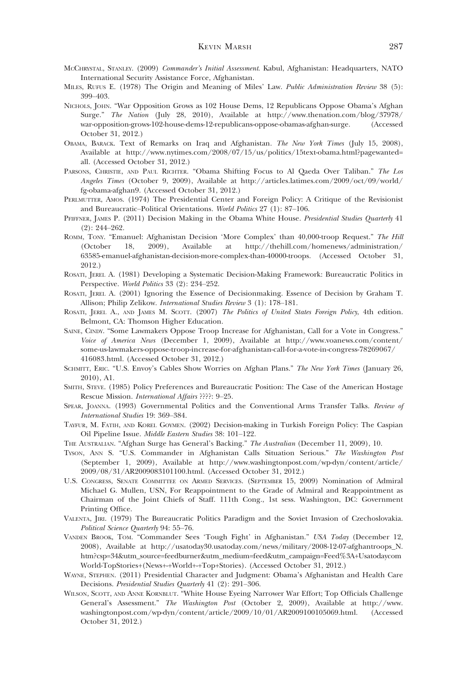- MCCHRYSTAL, STANLEY. (2009) Commander's Initial Assessment. Kabul, Afghanistan: Headquarters, NATO International Security Assistance Force, Afghanistan.
- MILES, RUFUS E. (1978) The Origin and Meaning of Miles' Law. Public Administration Review 38 (5): 399–403.
- NICHOLS, JOHN. "War Opposition Grows as 102 House Dems, 12 Republicans Oppose Obama's Afghan Surge." The Nation (July 28, 2010), Available at http://www.thenation.com/blog/37978/ war-opposition-grows-102-house-dems-12-republicans-oppose-obamas-afghan-surge. (Accessed October 31, 2012.)
- OBAMA, BARACK. Text of Remarks on Iraq and Afghanistan. The New York Times (July 15, 2008), Available at http://www.nytimes.com/2008/07/15/us/politics/15text-obama.html?pagewanted= all. (Accessed October 31, 2012.)
- PARSONS, CHRISTIE, AND PAUL RICHTER. "Obama Shifting Focus to Al Qaeda Over Taliban." The Los Angeles Times (October 9, 2009), Available at http://articles.latimes.com/2009/oct/09/world/ fg-obama-afghan9. (Accessed October 31, 2012.)
- PERLMUTTER, AMOS. (1974) The Presidential Center and Foreign Policy: A Critique of the Revisionist and Bureaucratic–Political Orientations. World Politics 27 (1): 87–106.
- PFIFFNER, JAMES P. (2011) Decision Making in the Obama White House. Presidential Studies Quarterly 41 (2): 244–262.
- ROMM, TONY. "Emanuel: Afghanistan Decision 'More Complex' than 40,000-troop Request." The Hill (October 18, 2009), Available at http://thehill.com/homenews/administration/ 63585-emanuel-afghanistan-decision-more-complex-than-40000-troops. (Accessed October 31, 2012.)
- ROSATI, JEREL A. (1981) Developing a Systematic Decision-Making Framework: Bureaucratic Politics in Perspective. World Politics 33 (2): 234-252.
- ROSATI, JEREL A. (2001) Ignoring the Essence of Decisionmaking. Essence of Decision by Graham T. Allison; Philip Zelikow. International Studies Review 3 (1): 178–181.
- ROSATI, JEREL A., AND JAMES M. SCOTT. (2007) The Politics of United States Foreign Policy, 4th edition. Belmont, CA: Thomson Higher Education.
- SAINE, CINDY. "Some Lawmakers Oppose Troop Increase for Afghanistan, Call for a Vote in Congress." Voice of America News (December 1, 2009), Available at http://www.voanews.com/content/ some-us-lawmakers-oppose-troop-increase-for-afghanistan-call-for-a-vote-in-congress-78269067/ 416083.html. (Accessed October 31, 2012.)
- SCHMITT, ERIC. "U.S. Envoy's Cables Show Worries on Afghan Plans." The New York Times (January 26, 2010), A1.
- SMITH, STEVE. (1985) Policy Preferences and Bureaucratic Position: The Case of the American Hostage Rescue Mission. International Affairs ????: 9–25.
- SPEAR, JOANNA. (1993) Governmental Politics and the Conventional Arms Transfer Talks. Review of International Studies 19: 369–384.
- TAYFUR, M. FATIH, AND KOREL GOYMEN. (2002) Decision-making in Turkish Foreign Policy: The Caspian Oil Pipeline Issue. Middle Eastern Studies 38: 101–122.
- THE AUSTRALIAN. "Afghan Surge has General'S Backing." The Australian (December 11, 2009), 10.
- TYSON, ANN S. "U.S. Commander in Afghanistan Calls Situation Serious." The Washington Post (September 1, 2009), Available at http://www.washingtonpost.com/wp-dyn/content/article/ 2009/08/31/AR2009083101100.html. (Accessed October 31, 2012.)
- U.S. CONGRESS, SENATE COMMITTEE ON ARMED SERVICES. (SEPTEMBER 15, 2009) Nomination of Admiral Michael G. Mullen, USN, For Reappointment to the Grade of Admiral and Reappointment as Chairman of the Joint Chiefs of Staff. 111th Cong., 1st sess. Washington, DC: Government Printing Office.
- VALENTA, JIRI. (1979) The Bureaucratic Politics Paradigm and the Soviet Invasion of Czechoslovakia. Political Science Quarterly 94: 55–76.
- VANDEN BROOK, TOM. "Commander Sees 'Tough Fight' in Afghanistan." USA Today (December 12, 2008), Available at http://usatoday30.usatoday.com/news/military/2008-12-07-afghantroops\_N. htm?csp=34&utm\_source=feedburner&utm\_medium=feed&utm\_campaign=Feed%3A+Usatodaycom World-TopStories+(News+-+World+-+Top+Stories). (Accessed October 31, 2012.)
- WAYNE, STEPHEN. (2011) Presidential Character and Judgment: Obama's Afghanistan and Health Care Decisions. Presidential Studies Quarterly 41 (2): 291–306.
- WILSON, SCOTT, AND ANNE KORNBLUT. "White House Eyeing Narrower War Effort; Top Officials Challenge General's Assessment." The Washington Post (October 2, 2009), Available at http://www. washingtonpost.com/wp-dyn/content/article/2009/10/01/AR2009100105069.html. (Accessed October 31, 2012.)